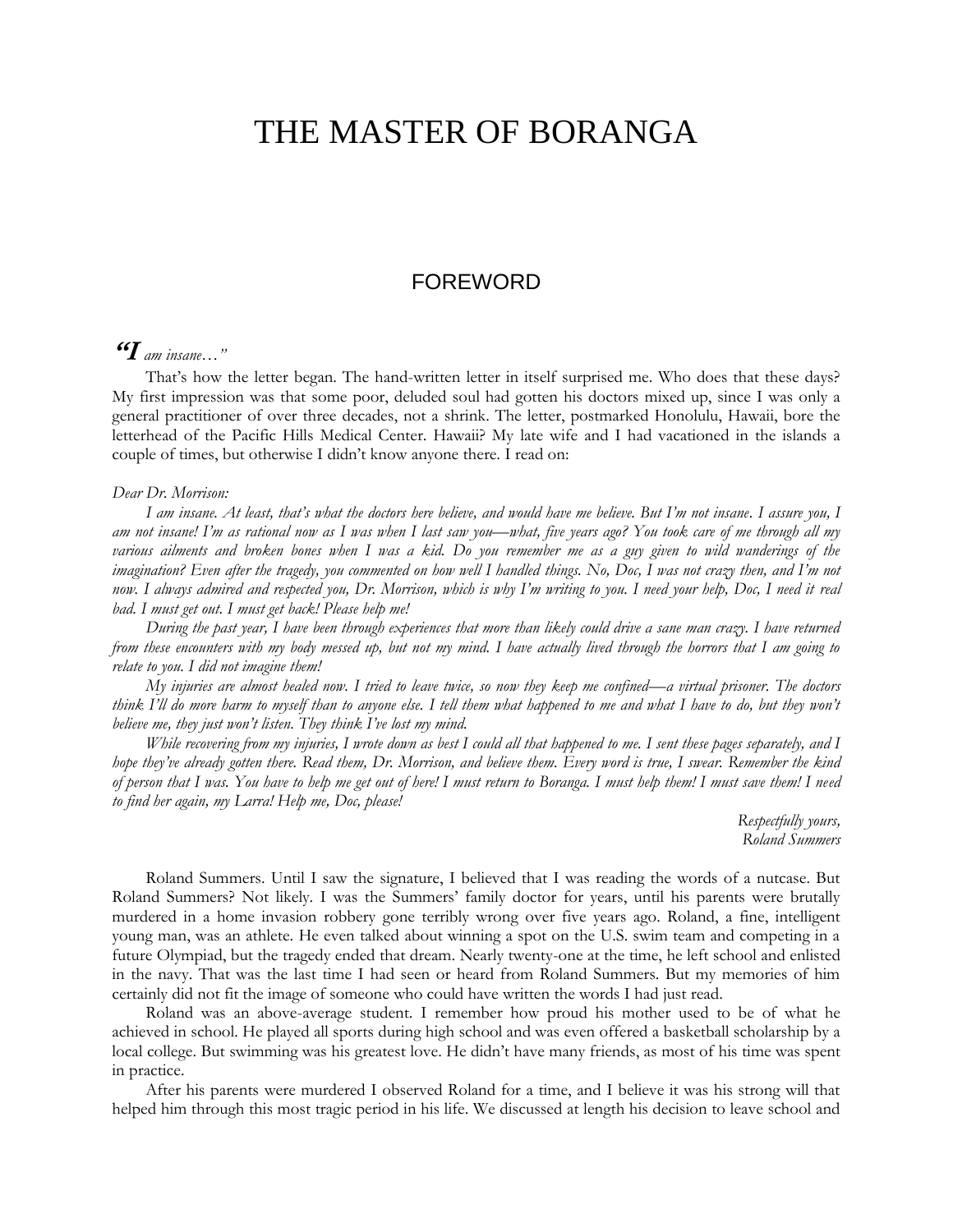# THE MASTER OF BORANGA

## FOREWORD

## **"I** *am insane…"*

That's how the letter began. The hand-written letter in itself surprised me. Who does that these days? My first impression was that some poor, deluded soul had gotten his doctors mixed up, since I was only a general practitioner of over three decades, not a shrink. The letter, postmarked Honolulu, Hawaii, bore the letterhead of the Pacific Hills Medical Center. Hawaii? My late wife and I had vacationed in the islands a couple of times, but otherwise I didn't know anyone there. I read on:

#### *Dear Dr. Morrison:*

*I am insane. At least, that's what the doctors here believe, and would have me believe. But I'm not insane. I assure you, I am not insane! I'm as rational now as I was when I last saw you—what, five years ago? You took care of me through all my various ailments and broken bones when I was a kid. Do you remember me as a guy given to wild wanderings of the imagination? Even after the tragedy, you commented on how well I handled things. No, Doc, I was not crazy then, and I'm not*  now. I always admired and respected you, Dr. Morrison, which is why I'm writing to you. I need your help, Doc, I need it real *bad. I must get out. I must get back! Please help me!*

*During the past year, I have been through experiences that more than likely could drive a sane man crazy. I have returned from these encounters with my body messed up, but not my mind. I have actually lived through the horrors that I am going to relate to you. I did not imagine them!*

*My injuries are almost healed now. I tried to leave twice, so now they keep me confined—a virtual prisoner. The doctors think I'll do more harm to myself than to anyone else. I tell them what happened to me and what I have to do, but they won't believe me, they just won't listen. They think I've lost my mind.*

*While recovering from my injuries, I wrote down as best I could all that happened to me. I sent these pages separately, and I hope they've already gotten there. Read them, Dr. Morrison, and believe them. Every word is true, I swear. Remember the kind of person that I was. You have to help me get out of here! I must return to Boranga. I must help them! I must save them! I need to find her again, my Larra! Help me, Doc, please!*

> *Respectfully yours, Roland Summers*

Roland Summers. Until I saw the signature, I believed that I was reading the words of a nutcase. But Roland Summers? Not likely. I was the Summers' family doctor for years, until his parents were brutally murdered in a home invasion robbery gone terribly wrong over five years ago. Roland, a fine, intelligent young man, was an athlete. He even talked about winning a spot on the U.S. swim team and competing in a future Olympiad, but the tragedy ended that dream. Nearly twenty-one at the time, he left school and enlisted in the navy. That was the last time I had seen or heard from Roland Summers. But my memories of him certainly did not fit the image of someone who could have written the words I had just read.

Roland was an above-average student. I remember how proud his mother used to be of what he achieved in school. He played all sports during high school and was even offered a basketball scholarship by a local college. But swimming was his greatest love. He didn't have many friends, as most of his time was spent in practice.

After his parents were murdered I observed Roland for a time, and I believe it was his strong will that helped him through this most tragic period in his life. We discussed at length his decision to leave school and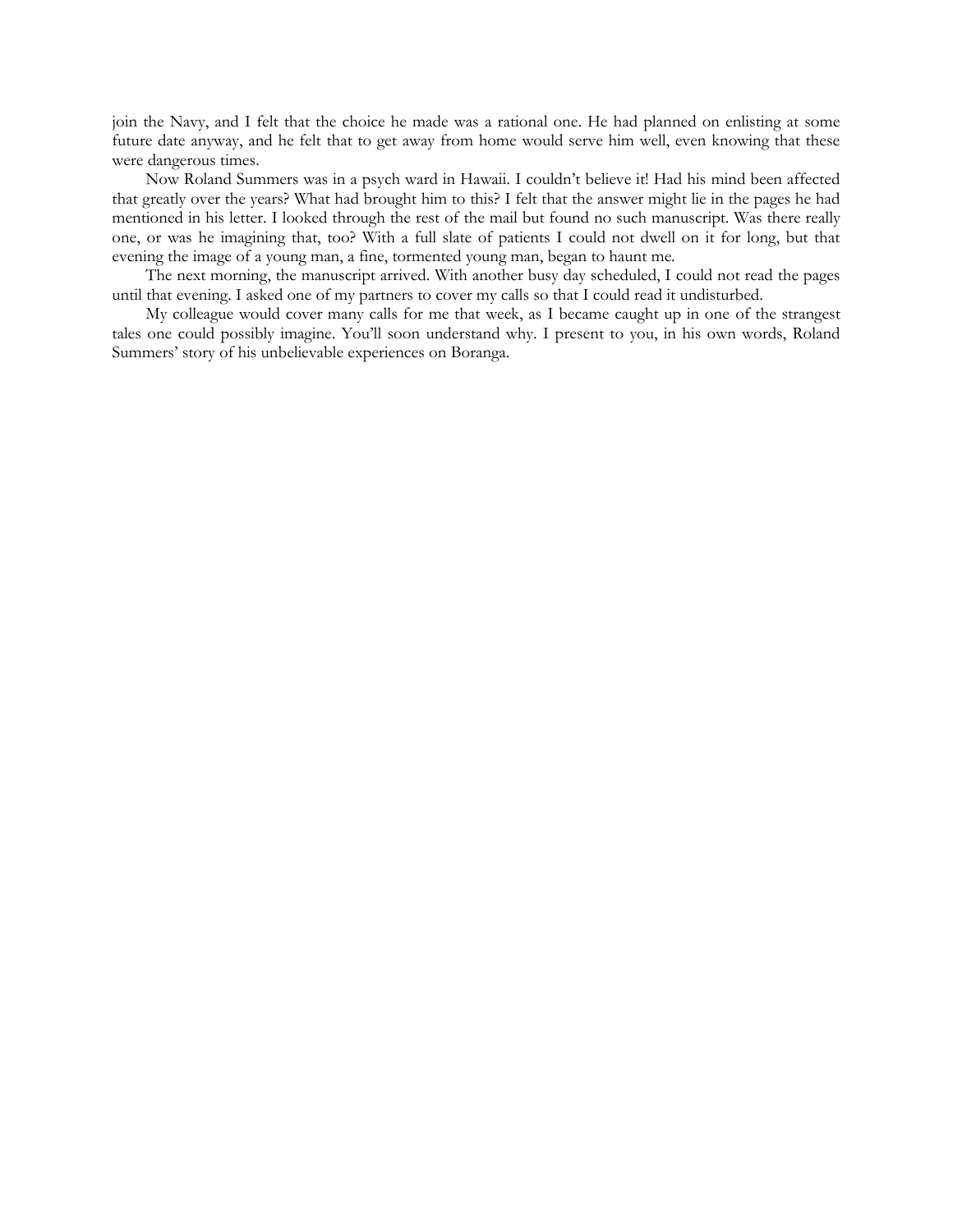join the Navy, and I felt that the choice he made was a rational one. He had planned on enlisting at some future date anyway, and he felt that to get away from home would serve him well, even knowing that these were dangerous times.

Now Roland Summers was in a psych ward in Hawaii. I couldn't believe it! Had his mind been affected that greatly over the years? What had brought him to this? I felt that the answer might lie in the pages he had mentioned in his letter. I looked through the rest of the mail but found no such manuscript. Was there really one, or was he imagining that, too? With a full slate of patients I could not dwell on it for long, but that evening the image of a young man, a fine, tormented young man, began to haunt me.

The next morning, the manuscript arrived. With another busy day scheduled, I could not read the pages until that evening. I asked one of my partners to cover my calls so that I could read it undisturbed.

My colleague would cover many calls for me that week, as I became caught up in one of the strangest tales one could possibly imagine. You'll soon understand why. I present to you, in his own words, Roland Summers' story of his unbelievable experiences on Boranga.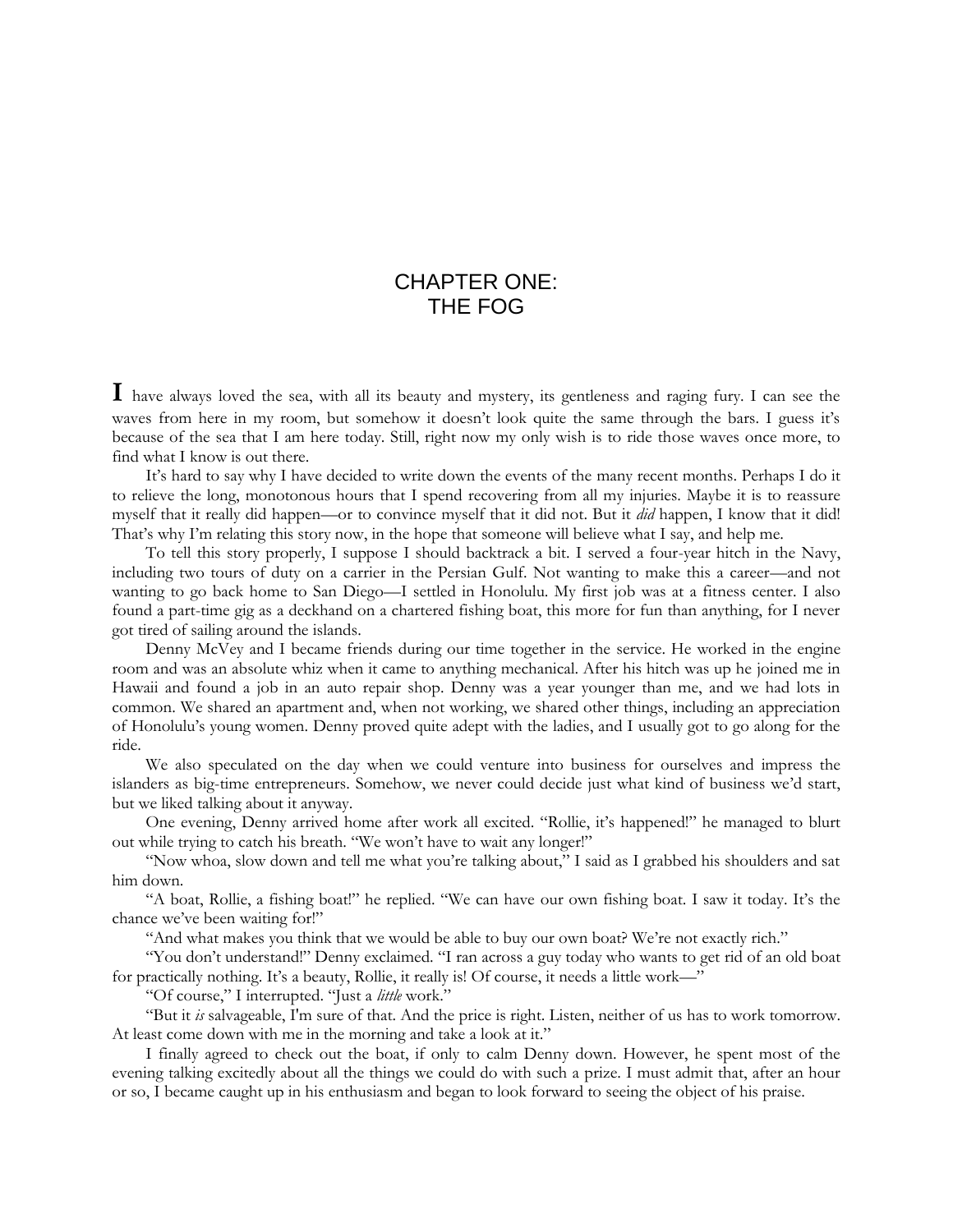## CHAPTER ONE: THE FOG

**I** have always loved the sea, with all its beauty and mystery, its gentleness and raging fury. I can see the waves from here in my room, but somehow it doesn't look quite the same through the bars. I guess it's because of the sea that I am here today. Still, right now my only wish is to ride those waves once more, to find what I know is out there.

It's hard to say why I have decided to write down the events of the many recent months. Perhaps I do it to relieve the long, monotonous hours that I spend recovering from all my injuries. Maybe it is to reassure myself that it really did happen—or to convince myself that it did not. But it *did* happen, I know that it did! That's why I'm relating this story now, in the hope that someone will believe what I say, and help me.

To tell this story properly, I suppose I should backtrack a bit. I served a four-year hitch in the Navy, including two tours of duty on a carrier in the Persian Gulf. Not wanting to make this a career—and not wanting to go back home to San Diego—I settled in Honolulu. My first job was at a fitness center. I also found a part-time gig as a deckhand on a chartered fishing boat, this more for fun than anything, for I never got tired of sailing around the islands.

Denny McVey and I became friends during our time together in the service. He worked in the engine room and was an absolute whiz when it came to anything mechanical. After his hitch was up he joined me in Hawaii and found a job in an auto repair shop. Denny was a year younger than me, and we had lots in common. We shared an apartment and, when not working, we shared other things, including an appreciation of Honolulu's young women. Denny proved quite adept with the ladies, and I usually got to go along for the ride.

We also speculated on the day when we could venture into business for ourselves and impress the islanders as big-time entrepreneurs. Somehow, we never could decide just what kind of business we'd start, but we liked talking about it anyway.

One evening, Denny arrived home after work all excited. "Rollie, it's happened!" he managed to blurt out while trying to catch his breath. "We won't have to wait any longer!"

"Now whoa, slow down and tell me what you're talking about," I said as I grabbed his shoulders and sat him down.

"A boat, Rollie, a fishing boat!" he replied. "We can have our own fishing boat. I saw it today. It's the chance we've been waiting for!"

"And what makes you think that we would be able to buy our own boat? We're not exactly rich."

"You don't understand!" Denny exclaimed. "I ran across a guy today who wants to get rid of an old boat for practically nothing. It's a beauty, Rollie, it really is! Of course, it needs a little work—"

"Of course," I interrupted. "Just a *little* work."

"But it *is* salvageable, I'm sure of that. And the price is right. Listen, neither of us has to work tomorrow. At least come down with me in the morning and take a look at it."

I finally agreed to check out the boat, if only to calm Denny down. However, he spent most of the evening talking excitedly about all the things we could do with such a prize. I must admit that, after an hour or so, I became caught up in his enthusiasm and began to look forward to seeing the object of his praise.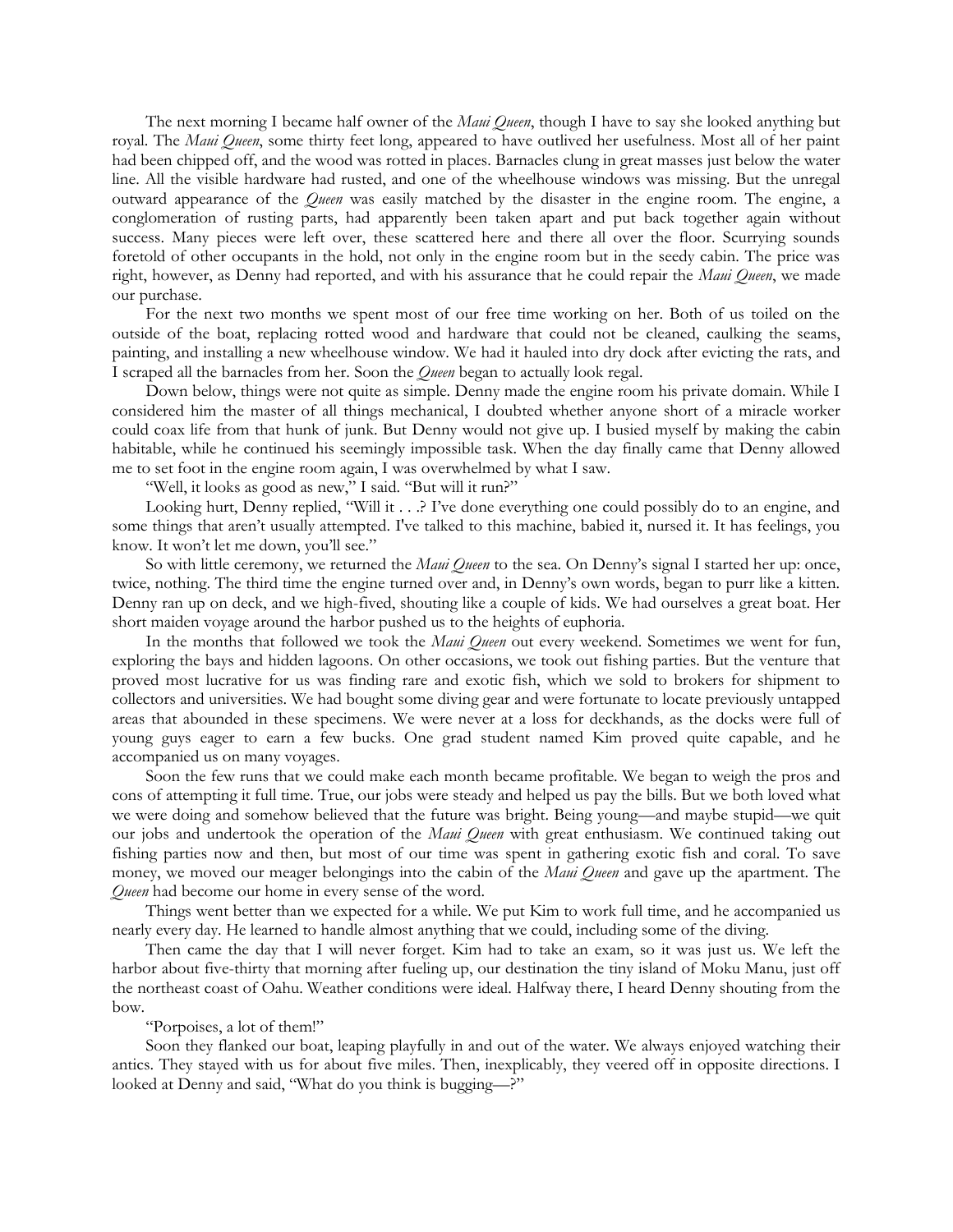The next morning I became half owner of the *Maui Queen*, though I have to say she looked anything but royal. The *Maui Queen*, some thirty feet long, appeared to have outlived her usefulness. Most all of her paint had been chipped off, and the wood was rotted in places. Barnacles clung in great masses just below the water line. All the visible hardware had rusted, and one of the wheelhouse windows was missing. But the unregal outward appearance of the *Queen* was easily matched by the disaster in the engine room. The engine, a conglomeration of rusting parts, had apparently been taken apart and put back together again without success. Many pieces were left over, these scattered here and there all over the floor. Scurrying sounds foretold of other occupants in the hold, not only in the engine room but in the seedy cabin. The price was right, however, as Denny had reported, and with his assurance that he could repair the *Maui Queen*, we made our purchase.

For the next two months we spent most of our free time working on her. Both of us toiled on the outside of the boat, replacing rotted wood and hardware that could not be cleaned, caulking the seams, painting, and installing a new wheelhouse window. We had it hauled into dry dock after evicting the rats, and I scraped all the barnacles from her. Soon the *Queen* began to actually look regal.

Down below, things were not quite as simple. Denny made the engine room his private domain. While I considered him the master of all things mechanical, I doubted whether anyone short of a miracle worker could coax life from that hunk of junk. But Denny would not give up. I busied myself by making the cabin habitable, while he continued his seemingly impossible task. When the day finally came that Denny allowed me to set foot in the engine room again, I was overwhelmed by what I saw.

"Well, it looks as good as new," I said. "But will it run?"

Looking hurt, Denny replied, "Will it . . .? I've done everything one could possibly do to an engine, and some things that aren't usually attempted. I've talked to this machine, babied it, nursed it. It has feelings, you know. It won't let me down, you'll see."

So with little ceremony, we returned the *Maui Queen* to the sea. On Denny's signal I started her up: once, twice, nothing. The third time the engine turned over and, in Denny's own words, began to purr like a kitten. Denny ran up on deck, and we high-fived, shouting like a couple of kids. We had ourselves a great boat. Her short maiden voyage around the harbor pushed us to the heights of euphoria.

In the months that followed we took the *Maui Queen* out every weekend. Sometimes we went for fun, exploring the bays and hidden lagoons. On other occasions, we took out fishing parties. But the venture that proved most lucrative for us was finding rare and exotic fish, which we sold to brokers for shipment to collectors and universities. We had bought some diving gear and were fortunate to locate previously untapped areas that abounded in these specimens. We were never at a loss for deckhands, as the docks were full of young guys eager to earn a few bucks. One grad student named Kim proved quite capable, and he accompanied us on many voyages.

Soon the few runs that we could make each month became profitable. We began to weigh the pros and cons of attempting it full time. True, our jobs were steady and helped us pay the bills. But we both loved what we were doing and somehow believed that the future was bright. Being young—and maybe stupid—we quit our jobs and undertook the operation of the *Maui Queen* with great enthusiasm. We continued taking out fishing parties now and then, but most of our time was spent in gathering exotic fish and coral. To save money, we moved our meager belongings into the cabin of the *Maui Queen* and gave up the apartment. The *Queen* had become our home in every sense of the word.

Things went better than we expected for a while. We put Kim to work full time, and he accompanied us nearly every day. He learned to handle almost anything that we could, including some of the diving.

Then came the day that I will never forget. Kim had to take an exam, so it was just us. We left the harbor about five-thirty that morning after fueling up, our destination the tiny island of Moku Manu, just off the northeast coast of Oahu. Weather conditions were ideal. Halfway there, I heard Denny shouting from the bow.

### "Porpoises, a lot of them!"

Soon they flanked our boat, leaping playfully in and out of the water. We always enjoyed watching their antics. They stayed with us for about five miles. Then, inexplicably, they veered off in opposite directions. I looked at Denny and said, "What do you think is bugging—?"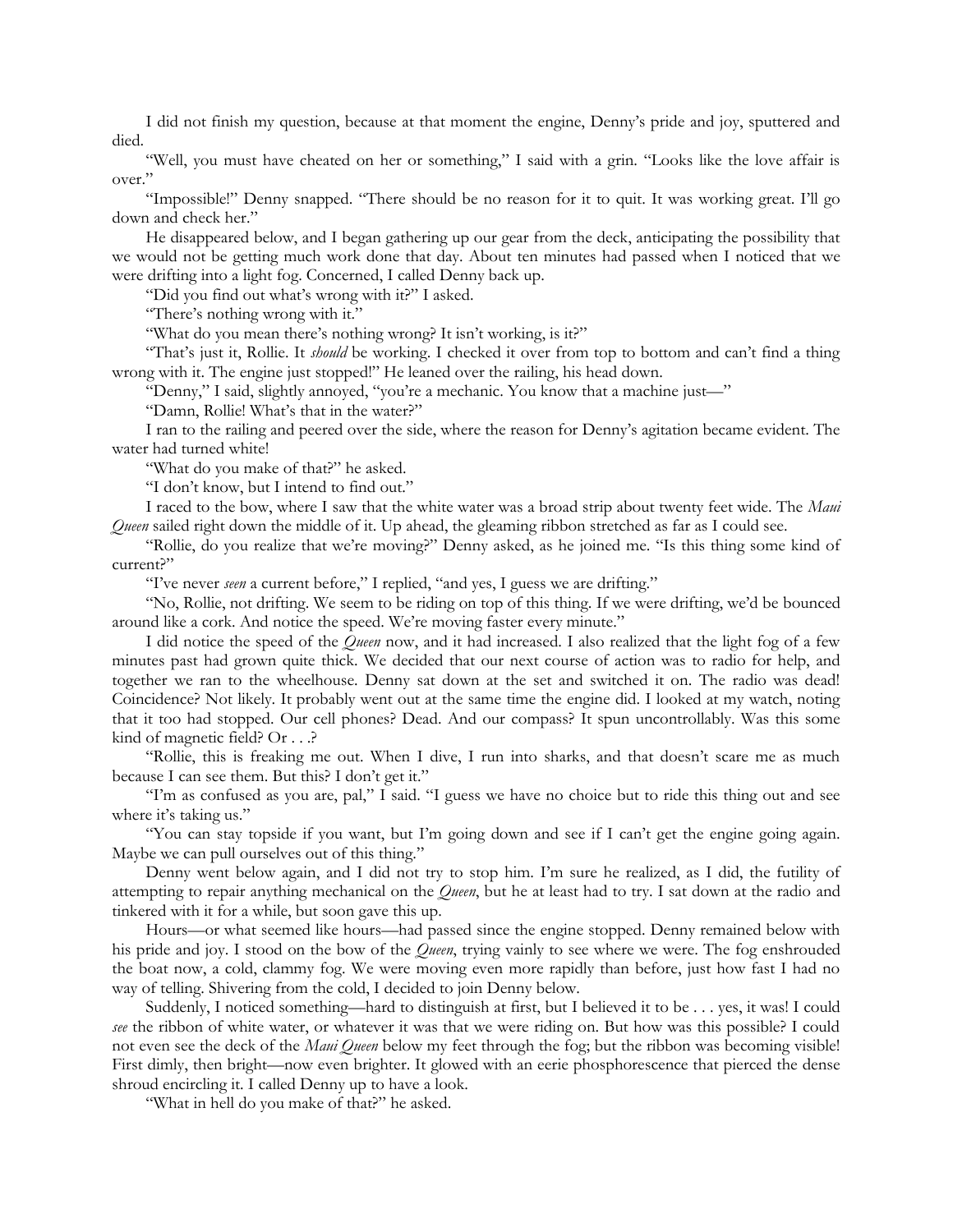I did not finish my question, because at that moment the engine, Denny's pride and joy, sputtered and died.

"Well, you must have cheated on her or something," I said with a grin. "Looks like the love affair is over."

"Impossible!" Denny snapped. "There should be no reason for it to quit. It was working great. I'll go down and check her."

He disappeared below, and I began gathering up our gear from the deck, anticipating the possibility that we would not be getting much work done that day. About ten minutes had passed when I noticed that we were drifting into a light fog. Concerned, I called Denny back up.

"Did you find out what's wrong with it?" I asked.

"There's nothing wrong with it."

"What do you mean there's nothing wrong? It isn't working, is it?"

"That's just it, Rollie. It *should* be working. I checked it over from top to bottom and can't find a thing wrong with it. The engine just stopped!" He leaned over the railing, his head down.

"Denny," I said, slightly annoyed, "you're a mechanic. You know that a machine just—"

"Damn, Rollie! What's that in the water?"

I ran to the railing and peered over the side, where the reason for Denny's agitation became evident. The water had turned white!

"What do you make of that?" he asked.

"I don't know, but I intend to find out."

I raced to the bow, where I saw that the white water was a broad strip about twenty feet wide. The *Maui Queen* sailed right down the middle of it. Up ahead, the gleaming ribbon stretched as far as I could see.

"Rollie, do you realize that we're moving?" Denny asked, as he joined me. "Is this thing some kind of current?"

"I've never *seen* a current before," I replied, "and yes, I guess we are drifting."

"No, Rollie, not drifting. We seem to be riding on top of this thing. If we were drifting, we'd be bounced around like a cork. And notice the speed. We're moving faster every minute."

I did notice the speed of the *Queen* now, and it had increased. I also realized that the light fog of a few minutes past had grown quite thick. We decided that our next course of action was to radio for help, and together we ran to the wheelhouse. Denny sat down at the set and switched it on. The radio was dead! Coincidence? Not likely. It probably went out at the same time the engine did. I looked at my watch, noting that it too had stopped. Our cell phones? Dead. And our compass? It spun uncontrollably. Was this some kind of magnetic field? Or . . .?

"Rollie, this is freaking me out. When I dive, I run into sharks, and that doesn't scare me as much because I can see them. But this? I don't get it."

"I'm as confused as you are, pal," I said. "I guess we have no choice but to ride this thing out and see where it's taking us."

"You can stay topside if you want, but I'm going down and see if I can't get the engine going again. Maybe we can pull ourselves out of this thing."

Denny went below again, and I did not try to stop him. I'm sure he realized, as I did, the futility of attempting to repair anything mechanical on the *Queen*, but he at least had to try. I sat down at the radio and tinkered with it for a while, but soon gave this up.

Hours—or what seemed like hours—had passed since the engine stopped. Denny remained below with his pride and joy. I stood on the bow of the *Queen*, trying vainly to see where we were. The fog enshrouded the boat now, a cold, clammy fog. We were moving even more rapidly than before, just how fast I had no way of telling. Shivering from the cold, I decided to join Denny below.

Suddenly, I noticed something—hard to distinguish at first, but I believed it to be . . . yes, it was! I could *see* the ribbon of white water, or whatever it was that we were riding on. But how was this possible? I could not even see the deck of the *Maui Queen* below my feet through the fog; but the ribbon was becoming visible! First dimly, then bright—now even brighter. It glowed with an eerie phosphorescence that pierced the dense shroud encircling it. I called Denny up to have a look.

"What in hell do you make of that?" he asked.